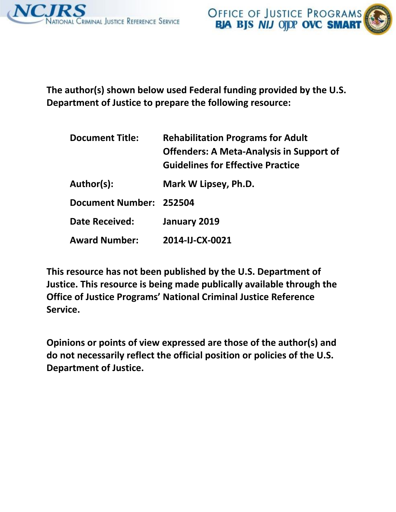



**The author(s) shown below used Federal funding provided by the U.S. Department of Justice to prepare the following resource:** 

| <b>Document Title:</b>  | <b>Rehabilitation Programs for Adult</b><br><b>Offenders: A Meta-Analysis in Support of</b><br><b>Guidelines for Effective Practice</b> |  |
|-------------------------|-----------------------------------------------------------------------------------------------------------------------------------------|--|
| Author(s):              | Mark W Lipsey, Ph.D.                                                                                                                    |  |
| Document Number: 252504 |                                                                                                                                         |  |
| <b>Date Received:</b>   | January 2019                                                                                                                            |  |
| <b>Award Number:</b>    | 2014-IJ-CX-0021                                                                                                                         |  |

**This resource has not been published by the U.S. Department of Justice. This resource is being made publically available through the Office of Justice Programs' National Criminal Justice Reference Service.** 

**Opinions or points of view expressed are those of the author(s) and do not necessarily reflect the official position or policies of the U.S. Department of Justice.**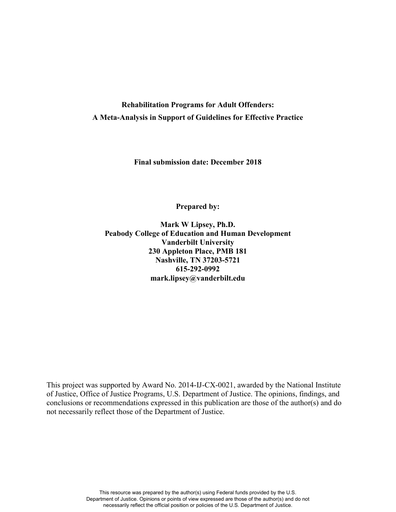# **Rehabilitation Programs for Adult Offenders: A Meta-Analysis in Support of Guidelines for Effective Practice**

**Final submission date: December 2018** 

**Prepared by:** 

**Mark W Lipsey, Ph.D. Peabody College of Education and Human Development Vanderbilt University 230 Appleton Place, PMB 181 Nashville, TN 37203-5721 615-292-0992 mark.lipsey@vanderbilt.edu** 

This project was supported by Award No. 2014-IJ-CX-0021, awarded by the National Institute of Justice, Office of Justice Programs, U.S. Department of Justice. The opinions, findings, and conclusions or recommendations expressed in this publication are those of the author(s) and do not necessarily reflect those of the Department of Justice.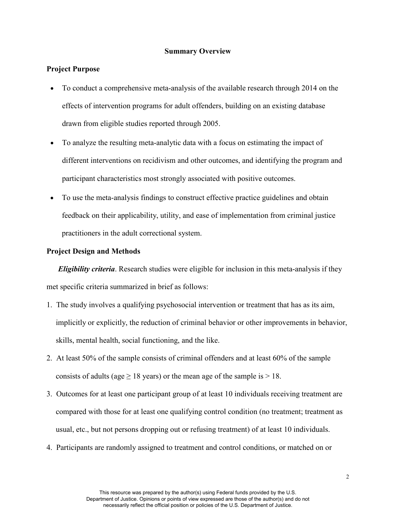#### **Summary Overview**

## **Project Purpose**

- To conduct a comprehensive meta-analysis of the available research through 2014 on the effects of intervention programs for adult offenders, building on an existing database drawn from eligible studies reported through 2005.
- To analyze the resulting meta-analytic data with a focus on estimating the impact of different interventions on recidivism and other outcomes, and identifying the program and participant characteristics most strongly associated with positive outcomes.
- To use the meta-analysis findings to construct effective practice guidelines and obtain feedback on their applicability, utility, and ease of implementation from criminal justice practitioners in the adult correctional system.

## **Project Design and Methods**

*Eligibility criteria*. Research studies were eligible for inclusion in this meta-analysis if they met specific criteria summarized in brief as follows:

- 1. The study involves a qualifying psychosocial intervention or treatment that has as its aim, implicitly or explicitly, the reduction of criminal behavior or other improvements in behavior, skills, mental health, social functioning, and the like.
- 2. At least 50% of the sample consists of criminal offenders and at least 60% of the sample consists of adults (age  $\geq$  18 years) or the mean age of the sample is  $>$  18.
- 3. Outcomes for at least one participant group of at least 10 individuals receiving treatment are compared with those for at least one qualifying control condition (no treatment; treatment as usual, etc., but not persons dropping out or refusing treatment) of at least 10 individuals.
- 4. Participants are randomly assigned to treatment and control conditions, or matched on or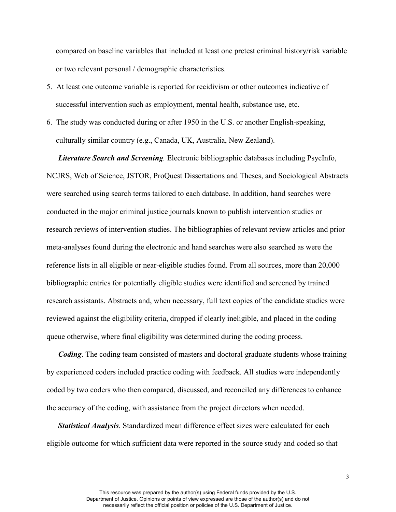compared on baseline variables that included at least one pretest criminal history/risk variable or two relevant personal / demographic characteristics.

- 5. At least one outcome variable is reported for recidivism or other outcomes indicative of successful intervention such as employment, mental health, substance use, etc.
- 6. The study was conducted during or after 1950 in the U.S. or another English-speaking, culturally similar country (e.g., Canada, UK, Australia, New Zealand).

*Literature Search and Screening.* Electronic bibliographic databases including PsycInfo, NCJRS, Web of Science, JSTOR, ProQuest Dissertations and Theses, and Sociological Abstracts were searched using search terms tailored to each database. In addition, hand searches were conducted in the major criminal justice journals known to publish intervention studies or research reviews of intervention studies. The bibliographies of relevant review articles and prior meta-analyses found during the electronic and hand searches were also searched as were the reference lists in all eligible or near-eligible studies found. From all sources, more than 20,000 bibliographic entries for potentially eligible studies were identified and screened by trained research assistants. Abstracts and, when necessary, full text copies of the candidate studies were reviewed against the eligibility criteria, dropped if clearly ineligible, and placed in the coding queue otherwise, where final eligibility was determined during the coding process.

*Coding*. The coding team consisted of masters and doctoral graduate students whose training by experienced coders included practice coding with feedback. All studies were independently coded by two coders who then compared, discussed, and reconciled any differences to enhance the accuracy of the coding, with assistance from the project directors when needed.

*Statistical Analysis.* Standardized mean difference effect sizes were calculated for each eligible outcome for which sufficient data were reported in the source study and coded so that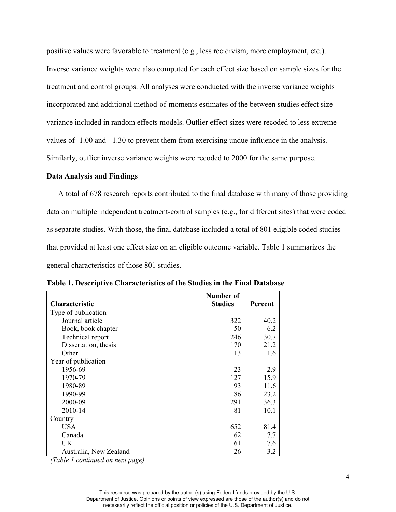positive values were favorable to treatment (e.g., less recidivism, more employment, etc.). Inverse variance weights were also computed for each effect size based on sample sizes for the treatment and control groups. All analyses were conducted with the inverse variance weights incorporated and additional method-of-moments estimates of the between studies effect size variance included in random effects models. Outlier effect sizes were recoded to less extreme values of -1.00 and +1.30 to prevent them from exercising undue influence in the analysis. Similarly, outlier inverse variance weights were recoded to 2000 for the same purpose.

#### **Data Analysis and Findings**

A total of 678 research reports contributed to the final database with many of those providing data on multiple independent treatment-control samples (e.g., for different sites) that were coded as separate studies. With those, the final database included a total of 801 eligible coded studies that provided at least one effect size on an eligible outcome variable. Table 1 summarizes the general characteristics of those 801 studies.

|                        | Number of      |         |
|------------------------|----------------|---------|
| <b>Characteristic</b>  | <b>Studies</b> | Percent |
| Type of publication    |                |         |
| Journal article        | 322            | 40.2    |
| Book, book chapter     | 50             | 6.2     |
| Technical report       | 246            | 30.7    |
| Dissertation, thesis   | 170            | 21.2    |
| Other                  | 13             | 1.6     |
| Year of publication    |                |         |
| 1956-69                | 23             | 2.9     |
| 1970-79                | 127            | 15.9    |
| 1980-89                | 93             | 11.6    |
| 1990-99                | 186            | 23.2    |
| 2000-09                | 291            | 36.3    |
| 2010-14                | 81             | 10.1    |
| Country                |                |         |
| <b>USA</b>             | 652            | 81.4    |
| Canada                 | 62             | 7.7     |
| UK                     | 61             | 7.6     |
| Australia, New Zealand | 26             | 3.2     |

**Table 1. Descriptive Characteristics of the Studies in the Final Database**

*(Table 1 continued on next page)*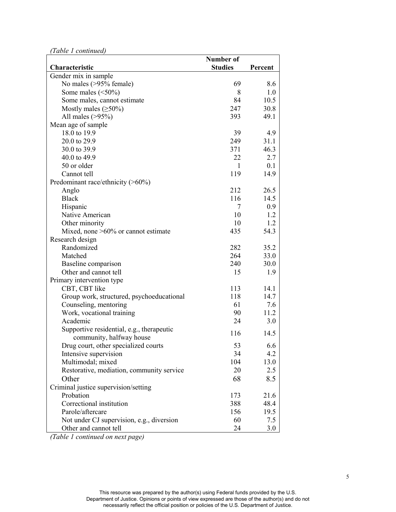*(Table 1 continued)*

| Tubic I communical                        | Number of      |         |
|-------------------------------------------|----------------|---------|
| Characteristic                            | <b>Studies</b> | Percent |
| Gender mix in sample                      |                |         |
| No males (>95% female)                    | 69             | 8.6     |
| Some males $(\leq 50\%)$                  | 8              | 1.0     |
| Some males, cannot estimate               | 84             | 10.5    |
| Mostly males $(\geq 50\%)$                | 247            | 30.8    |
| All males $(>95%)$                        | 393            | 49.1    |
| Mean age of sample                        |                |         |
| 18.0 to 19.9                              | 39             | 4.9     |
| 20.0 to 29.9                              | 249            | 31.1    |
| 30.0 to 39.9                              | 371            | 46.3    |
| 40.0 to 49.9                              | 22             | 2.7     |
| 50 or older                               | $\mathbf{1}$   | 0.1     |
| Cannot tell                               | 119            | 14.9    |
|                                           |                |         |
| Predominant race/ethnicity (>60%)         | 212            |         |
| Anglo<br><b>Black</b>                     | 116            | 26.5    |
|                                           |                | 14.5    |
| Hispanic                                  | 7              | 0.9     |
| Native American                           | 10             | 1.2     |
| Other minority                            | 10             | 1.2     |
| Mixed, none $>60\%$ or cannot estimate    | 435            | 54.3    |
| Research design                           |                |         |
| Randomized                                | 282            | 35.2    |
| Matched                                   | 264            | 33.0    |
| Baseline comparison                       | 240            | 30.0    |
| Other and cannot tell                     | 15             | 1.9     |
| Primary intervention type                 |                |         |
| CBT, CBT like                             | 113            | 14.1    |
| Group work, structured, psychoeducational | 118            | 14.7    |
| Counseling, mentoring                     | 61             | 7.6     |
| Work, vocational training                 | 90             | 11.2    |
| Academic                                  | 24             | 3.0     |
| Supportive residential, e.g., therapeutic | 116            | 14.5    |
| community, halfway house                  |                |         |
| Drug court, other specialized courts      | 53             | 6.6     |
| Intensive supervision                     | 34             | 4.2     |
| Multimodal; mixed                         | 104            | 13.0    |
| Restorative, mediation, community service | 20             | 2.5     |
| Other                                     | 68             | 8.5     |
| Criminal justice supervision/setting      |                |         |
| Probation                                 | 173            | 21.6    |
| Correctional institution                  | 388            | 48.4    |
| Parole/aftercare                          | 156            | 19.5    |
| Not under CJ supervision, e.g., diversion | 60             | 7.5     |
| Other and cannot tell                     | 24             | 3.0     |

*(Table 1 continued on next page)*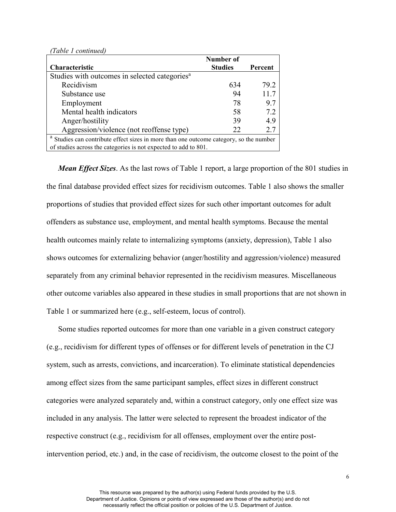*(Table 1 continued)*

|                                                                                                   | <b>Number of</b> |         |  |
|---------------------------------------------------------------------------------------------------|------------------|---------|--|
| Characteristic                                                                                    | <b>Studies</b>   | Percent |  |
| Studies with outcomes in selected categories <sup>a</sup>                                         |                  |         |  |
| Recidivism                                                                                        | 634              | 79.2    |  |
| Substance use                                                                                     | 94               | 11.7    |  |
| Employment                                                                                        | 78               | 9.7     |  |
| Mental health indicators                                                                          | 58               | 7.2     |  |
| Anger/hostility                                                                                   | 39               | 4.9     |  |
| Aggression/violence (not reoffense type)                                                          | 22               | 2.7     |  |
| <sup>a</sup> Studies can contribute effect sizes in more than one outcome category, so the number |                  |         |  |
| of studies across the categories is not expected to add to 801.                                   |                  |         |  |

*Mean Effect Sizes*. As the last rows of Table 1 report, a large proportion of the 801 studies in the final database provided effect sizes for recidivism outcomes. Table 1 also shows the smaller proportions of studies that provided effect sizes for such other important outcomes for adult offenders as substance use, employment, and mental health symptoms. Because the mental health outcomes mainly relate to internalizing symptoms (anxiety, depression), Table 1 also shows outcomes for externalizing behavior (anger/hostility and aggression/violence) measured separately from any criminal behavior represented in the recidivism measures. Miscellaneous other outcome variables also appeared in these studies in small proportions that are not shown in Table 1 or summarized here (e.g., self-esteem, locus of control).

Some studies reported outcomes for more than one variable in a given construct category (e.g., recidivism for different types of offenses or for different levels of penetration in the CJ system, such as arrests, convictions, and incarceration). To eliminate statistical dependencies among effect sizes from the same participant samples, effect sizes in different construct categories were analyzed separately and, within a construct category, only one effect size was included in any analysis. The latter were selected to represent the broadest indicator of the respective construct (e.g., recidivism for all offenses, employment over the entire postintervention period, etc.) and, in the case of recidivism, the outcome closest to the point of the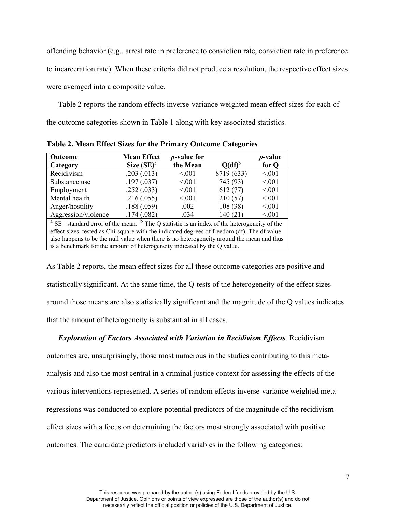offending behavior (e.g., arrest rate in preference to conviction rate, conviction rate in preference to incarceration rate). When these criteria did not produce a resolution, the respective effect sizes were averaged into a composite value.

Table 2 reports the random effects inverse-variance weighted mean effect sizes for each of the outcome categories shown in Table 1 along with key associated statistics.

| <b>Outcome</b><br>Category                                                                                                                                                               | <b>Mean Effect</b><br>Size $(SE)^a$ | <i>p</i> -value for<br>the Mean | $Q(df)^{b}$ | <i>p</i> -value<br>for Q |
|------------------------------------------------------------------------------------------------------------------------------------------------------------------------------------------|-------------------------------------|---------------------------------|-------------|--------------------------|
| Recidivism                                                                                                                                                                               | .203(.013)                          | < 0.01                          | 8719 (633)  | < 0.01                   |
| Substance use                                                                                                                                                                            | .197(.037)                          | < 0.01                          | 745 (93)    | < 0.01                   |
| Employment                                                                                                                                                                               | .252(.033)                          | < 0.01                          | 612(77)     | < 0.01                   |
| Mental health                                                                                                                                                                            | .216(.055)                          | < 0.01                          | 210(57)     | < 0.01                   |
| Anger/hostility                                                                                                                                                                          | .188(.059)                          | .002                            | 108(38)     | < 0.01                   |
| Aggression/violence                                                                                                                                                                      | .174(.082)                          | .034                            | 140(21)     | < 0.01                   |
| $^a$ SE= standard error of the mean. $^b$ The Q statistic is an index of the heterogeneity of the                                                                                        |                                     |                                 |             |                          |
| effect sizes, tested as Chi-square with the indicated degrees of freedom (df). The df value<br>also happens to be the null value when there is no heterogeneity around the mean and thus |                                     |                                 |             |                          |

**Table 2. Mean Effect Sizes for the Primary Outcome Categories**

is a benchmark for the amount of heterogeneity indicated by the Q value.

As Table 2 reports, the mean effect sizes for all these outcome categories are positive and statistically significant. At the same time, the Q-tests of the heterogeneity of the effect sizes around those means are also statistically significant and the magnitude of the Q values indicates that the amount of heterogeneity is substantial in all cases.

## *Exploration of Factors Associated with Variation in Recidivism Effects*. Recidivism

outcomes are, unsurprisingly, those most numerous in the studies contributing to this metaanalysis and also the most central in a criminal justice context for assessing the effects of the various interventions represented. A series of random effects inverse-variance weighted metaregressions was conducted to explore potential predictors of the magnitude of the recidivism effect sizes with a focus on determining the factors most strongly associated with positive outcomes. The candidate predictors included variables in the following categories: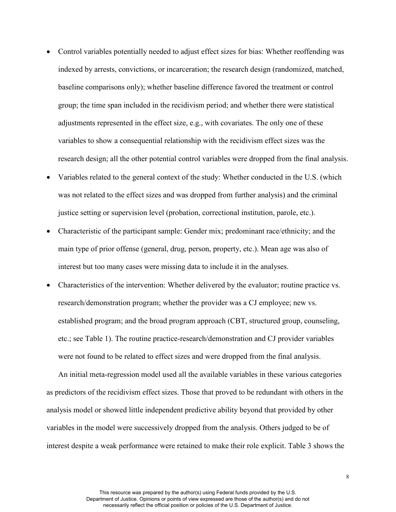- Control variables potentially needed to adjust effect sizes for bias: Whether reoffending was indexed by arrests, convictions, or incarceration; the research design (randomized, matched, baseline comparisons only); whether baseline difference favored the treatment or control group; the time span included in the recidivism period; and whether there were statistical adjustments represented in the effect size, e.g., with covariates. The only one of these variables to show a consequential relationship with the recidivism effect sizes was the research design; all the other potential control variables were dropped from the final analysis.
- Variables related to the general context of the study: Whether conducted in the U.S. (which was not related to the effect sizes and was dropped from further analysis) and the criminal justice setting or supervision level (probation, correctional institution, parole, etc.).
- Characteristic of the participant sample: Gender mix; predominant race/ethnicity; and the main type of prior offense (general, drug, person, property, etc.). Mean age was also of interest but too many cases were missing data to include it in the analyses.
- Characteristics of the intervention: Whether delivered by the evaluator; routine practice vs. research/demonstration program; whether the provider was a CJ employee; new vs. established program; and the broad program approach (CBT, structured group, counseling, etc.; see Table 1). The routine practice-research/demonstration and CJ provider variables were not found to be related to effect sizes and were dropped from the final analysis.

An initial meta-regression model used all the available variables in these various categories as predictors of the recidivism effect sizes. Those that proved to be redundant with others in the analysis model or showed little independent predictive ability beyond that provided by other variables in the model were successively dropped from the analysis. Others judged to be of interest despite a weak performance were retained to make their role explicit. Table 3 shows the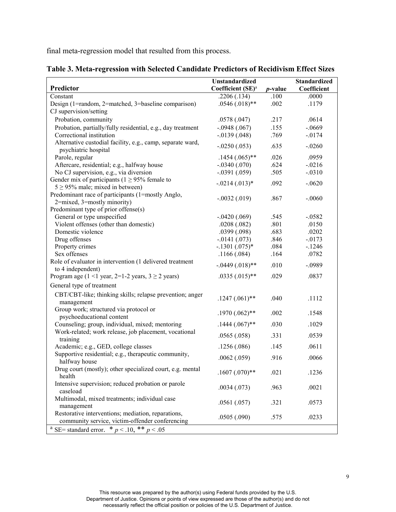final meta-regression model that resulted from this process.

|                                                                                                       | <b>Unstandardized</b>         |                 | Standardized   |
|-------------------------------------------------------------------------------------------------------|-------------------------------|-----------------|----------------|
| Predictor                                                                                             | Coefficient (SE) <sup>a</sup> | <i>p</i> -value | Coefficient    |
| Constant                                                                                              | .2206(.134)                   | .100            | .0000          |
| Design (1=random, 2=matched, 3=baseline comparison)                                                   | $.0546(.018)$ **              | .002            | .1179          |
| CJ supervision/setting                                                                                |                               |                 |                |
| Probation, community                                                                                  | .0578(.047)                   | .217            | .0614          |
| Probation, partially/fully residential, e.g., day treatment                                           | $-.0948(.067)$                | .155            | $-.0669$       |
| Correctional institution                                                                              | $-0.0139(0.048)$              | .769            | $-0174$        |
| Alternative custodial facility, e.g., camp, separate ward,<br>psychiatric hospital                    | $-.0250(.053)$                | .635            | $-.0260$       |
| Parole, regular                                                                                       | $.1454(.065)$ **              | .026            | .0959          |
| Aftercare, residential; e.g., halfway house                                                           | $-.0340(.070)$                | .624            | $-.0216$       |
| No CJ supervision, e.g., via diversion                                                                | $-.0391(.059)$                | .505            | $-.0310$       |
| Gender mix of participants ( $1 \ge 95\%$ female to                                                   | $-.0214(.013)*$               | .092            | $-.0620$       |
| $5 \geq 95\%$ male; mixed in between)                                                                 |                               |                 |                |
| Predominant race of participants (1=mostly Anglo,                                                     | $-.0032(.019)$                | .867            | $-.0060$       |
| 2=mixed, 3=mostly minority)                                                                           |                               |                 |                |
| Predominant type of prior offense(s)                                                                  |                               |                 |                |
| General or type unspecified                                                                           | $-.0420(.069)$                | .545            | $-0.0582$      |
| Violent offenses (other than domestic)<br>Domestic violence                                           | .0208(.082)<br>.0399(.098)    | .801<br>.683    | .0150<br>.0202 |
| Drug offenses                                                                                         | $-0.0141(0.073)$              | .846            | $-0.0173$      |
| Property crimes                                                                                       | $-.1301(.075)*$               | .084            | $-1246$        |
| Sex offenses                                                                                          | .1166(.084)                   | .164            | .0782          |
| Role of evaluator in intervention (1 delivered treatment                                              |                               |                 |                |
| to 4 independent)                                                                                     | $-0.0449(0.018)$ **           | .010            | $-.0989$       |
| Program age ( $1 \le 1$ year, $2=1-2$ years, $3 \ge 2$ years)                                         | $.0335(.015)$ **              | .029            | .0837          |
| General type of treatment                                                                             |                               |                 |                |
| CBT/CBT-like; thinking skills; relapse prevention; anger<br>management                                | $.1247(.061)$ **              | .040            | .1112          |
| Group work; structured via protocol or<br>psychoeducational content                                   | $.1970(.062)$ **              | .002            | .1548          |
| Counseling; group, individual, mixed; mentoring                                                       | $.1444(.067)$ **              | .030            | .1029          |
| Work-related; work release, job placement, vocational<br>training                                     | .0565(.058)                   | .331            | .0539          |
| Academic; e.g., GED, college classes                                                                  | .1256(.086)                   | .145            | .0611          |
| Supportive residential; e.g., therapeutic community,                                                  |                               |                 |                |
| halfway house                                                                                         | .0062(.059)                   | .916            | .0066          |
| Drug court (mostly); other specialized court, e.g. mental<br>health                                   | $.1607(.070)**$               | .021            | .1236          |
| Intensive supervision; reduced probation or parole<br>caseload                                        | .0034(.073)                   | .963            | .0021          |
| Multimodal, mixed treatments; individual case<br>management                                           | .0561(.057)                   | .321            | .0573          |
| Restorative interventions; mediation, reparations,<br>community service, victim-offender conferencing | .0505(.090)                   | .575            | .0233          |
| SE= standard error. * $p < .10$ , ** $p < .05$                                                        |                               |                 |                |

**Table 3. Meta-regression with Selected Candidate Predictors of Recidivism Effect Sizes**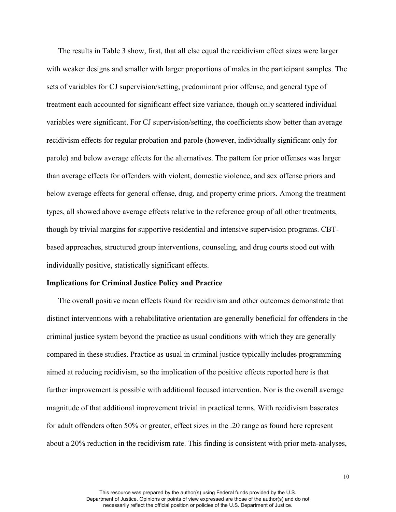The results in Table 3 show, first, that all else equal the recidivism effect sizes were larger with weaker designs and smaller with larger proportions of males in the participant samples. The sets of variables for CJ supervision/setting, predominant prior offense, and general type of treatment each accounted for significant effect size variance, though only scattered individual variables were significant. For CJ supervision/setting, the coefficients show better than average recidivism effects for regular probation and parole (however, individually significant only for parole) and below average effects for the alternatives. The pattern for prior offenses was larger than average effects for offenders with violent, domestic violence, and sex offense priors and below average effects for general offense, drug, and property crime priors. Among the treatment types, all showed above average effects relative to the reference group of all other treatments, though by trivial margins for supportive residential and intensive supervision programs. CBTbased approaches, structured group interventions, counseling, and drug courts stood out with individually positive, statistically significant effects.

#### **Implications for Criminal Justice Policy and Practice**

The overall positive mean effects found for recidivism and other outcomes demonstrate that distinct interventions with a rehabilitative orientation are generally beneficial for offenders in the criminal justice system beyond the practice as usual conditions with which they are generally compared in these studies. Practice as usual in criminal justice typically includes programming aimed at reducing recidivism, so the implication of the positive effects reported here is that further improvement is possible with additional focused intervention. Nor is the overall average magnitude of that additional improvement trivial in practical terms. With recidivism baserates for adult offenders often 50% or greater, effect sizes in the .20 range as found here represent about a 20% reduction in the recidivism rate. This finding is consistent with prior meta-analyses,

> This resource was prepared by the author(s) using Federal funds provided by the U.S. Department of Justice. Opinions or points of view expressed are those of the author(s) and do not necessarily reflect the official position or policies of the U.S. Department of Justice.